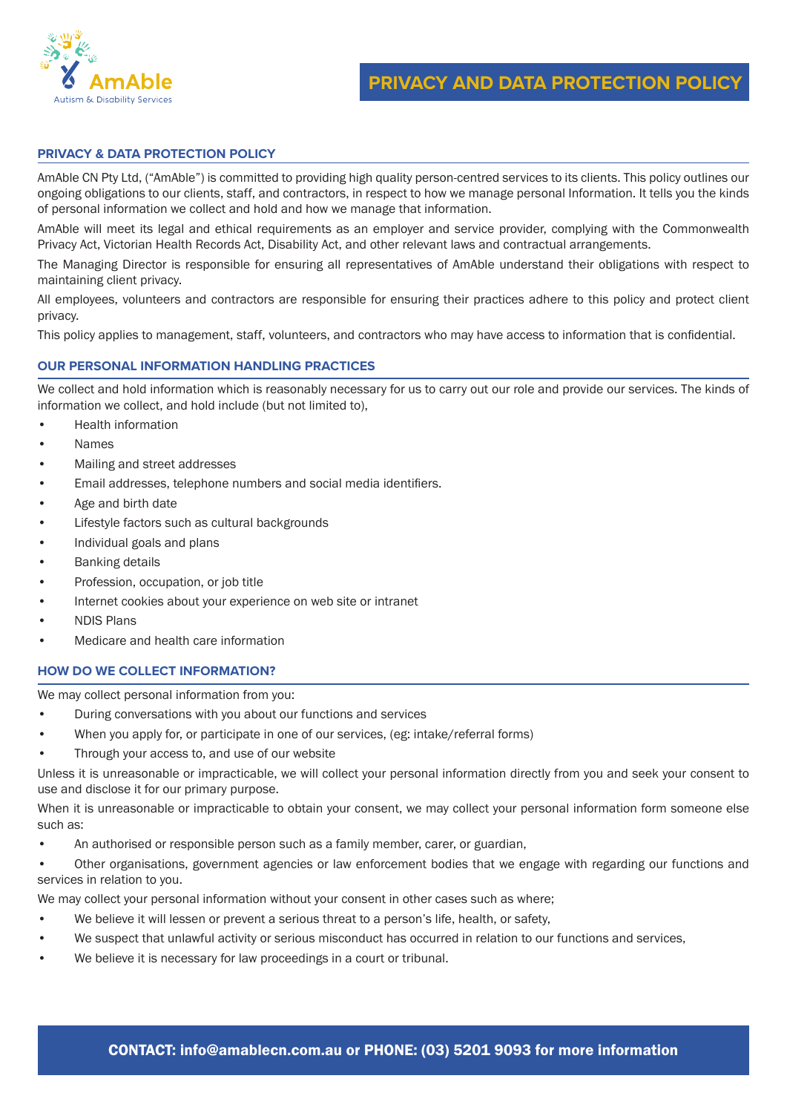

# **PRIVACY & DATA PROTECTION POLICY**

AmAble CN Pty Ltd, ("AmAble") is committed to providing high quality person-centred services to its clients. This policy outlines our ongoing obligations to our clients, staff, and contractors, in respect to how we manage personal Information. It tells you the kinds of personal information we collect and hold and how we manage that information.

AmAble will meet its legal and ethical requirements as an employer and service provider, complying with the Commonwealth Privacy Act, Victorian Health Records Act, Disability Act, and other relevant laws and contractual arrangements.

The Managing Director is responsible for ensuring all representatives of AmAble understand their obligations with respect to maintaining client privacy.

All employees, volunteers and contractors are responsible for ensuring their practices adhere to this policy and protect client privacy.

This policy applies to management, staff, volunteers, and contractors who may have access to information that is confidential.

## **OUR PERSONAL INFORMATION HANDLING PRACTICES**

We collect and hold information which is reasonably necessary for us to carry out our role and provide our services. The kinds of information we collect, and hold include (but not limited to),

- Health information
- Names
- Mailing and street addresses
- Email addresses, telephone numbers and social media identifiers.
- Age and birth date
- Lifestyle factors such as cultural backgrounds
- Individual goals and plans
- Banking details
- Profession, occupation, or job title
- Internet cookies about your experience on web site or intranet
- NDIS Plans
- Medicare and health care information

#### **HOW DO WE COLLECT INFORMATION?**

We may collect personal information from you:

- During conversations with you about our functions and services
- When you apply for, or participate in one of our services, (eg: intake/referral forms)
- Through your access to, and use of our website

Unless it is unreasonable or impracticable, we will collect your personal information directly from you and seek your consent to use and disclose it for our primary purpose.

When it is unreasonable or impracticable to obtain your consent, we may collect your personal information form someone else such as:

- An authorised or responsible person such as a family member, carer, or guardian,
- Other organisations, government agencies or law enforcement bodies that we engage with regarding our functions and services in relation to you.

We may collect your personal information without your consent in other cases such as where;

- We believe it will lessen or prevent a serious threat to a person's life, health, or safety,
- We suspect that unlawful activity or serious misconduct has occurred in relation to our functions and services,
- We believe it is necessary for law proceedings in a court or tribunal.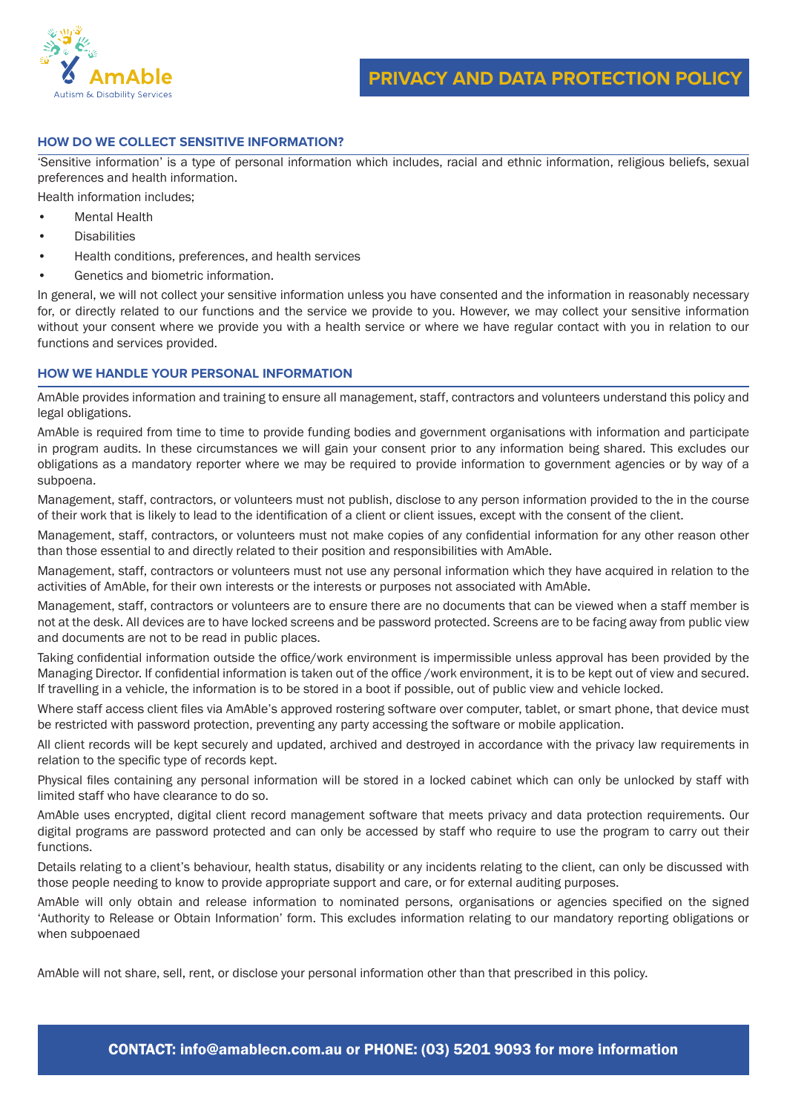

### **HOW DO WE COLLECT SENSITIVE INFORMATION?**

'Sensitive information' is a type of personal information which includes, racial and ethnic information, religious beliefs, sexual preferences and health information.

Health information includes;

- Mental Health
- **Disabilities**
- Health conditions, preferences, and health services
- Genetics and biometric information.

In general, we will not collect your sensitive information unless you have consented and the information in reasonably necessary for, or directly related to our functions and the service we provide to you. However, we may collect your sensitive information without your consent where we provide you with a health service or where we have regular contact with you in relation to our functions and services provided.

## **HOW WE HANDLE YOUR PERSONAL INFORMATION**

AmAble provides information and training to ensure all management, staff, contractors and volunteers understand this policy and legal obligations.

AmAble is required from time to time to provide funding bodies and government organisations with information and participate in program audits. In these circumstances we will gain your consent prior to any information being shared. This excludes our obligations as a mandatory reporter where we may be required to provide information to government agencies or by way of a subpoena.

Management, staff, contractors, or volunteers must not publish, disclose to any person information provided to the in the course of their work that is likely to lead to the identification of a client or client issues, except with the consent of the client.

Management, staff, contractors, or volunteers must not make copies of any confidential information for any other reason other than those essential to and directly related to their position and responsibilities with AmAble.

Management, staff, contractors or volunteers must not use any personal information which they have acquired in relation to the activities of AmAble, for their own interests or the interests or purposes not associated with AmAble.

Management, staff, contractors or volunteers are to ensure there are no documents that can be viewed when a staff member is not at the desk. All devices are to have locked screens and be password protected. Screens are to be facing away from public view and documents are not to be read in public places.

Taking confidential information outside the office/work environment is impermissible unless approval has been provided by the Managing Director. If confidential information is taken out of the office /work environment, it is to be kept out of view and secured. If travelling in a vehicle, the information is to be stored in a boot if possible, out of public view and vehicle locked.

Where staff access client files via AmAble's approved rostering software over computer, tablet, or smart phone, that device must be restricted with password protection, preventing any party accessing the software or mobile application.

All client records will be kept securely and updated, archived and destroyed in accordance with the privacy law requirements in relation to the specific type of records kept.

Physical files containing any personal information will be stored in a locked cabinet which can only be unlocked by staff with limited staff who have clearance to do so.

AmAble uses encrypted, digital client record management software that meets privacy and data protection requirements. Our digital programs are password protected and can only be accessed by staff who require to use the program to carry out their functions.

Details relating to a client's behaviour, health status, disability or any incidents relating to the client, can only be discussed with those people needing to know to provide appropriate support and care, or for external auditing purposes.

AmAble will only obtain and release information to nominated persons, organisations or agencies specified on the signed 'Authority to Release or Obtain Information' form. This excludes information relating to our mandatory reporting obligations or when subpoenaed

AmAble will not share, sell, rent, or disclose your personal information other than that prescribed in this policy.